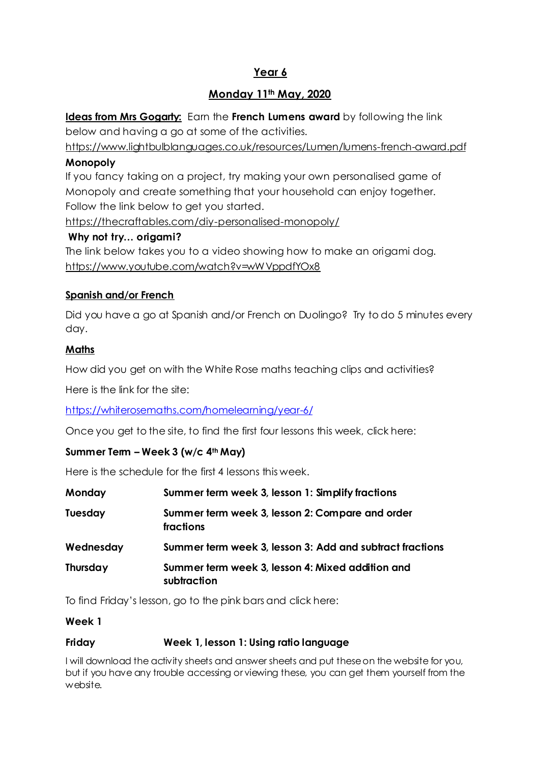## **Year 6**

## **Monday 11th May, 2020**

**Ideas from Mrs Gogarty:** Earn the **French Lumens award** by following the link below and having a go at some of the activities.

<https://www.lightbulblanguages.co.uk/resources/Lumen/lumens-french-award.pdf>

### **Monopoly**

If you fancy taking on a project, try making your own personalised game of Monopoly and create something that your household can enjoy together. Follow the link below to get you started.

<https://thecraftables.com/diy-personalised-monopoly/>

### **Why not try… origami?**

The link below takes you to a video showing how to make an origami dog. <https://www.youtube.com/watch?v=wWVppdfYOx8>

## **Spanish and/or French**

Did you have a go at Spanish and/or French on Duolingo? Try to do 5 minutes every day.

## **Maths**

How did you get on with the White Rose maths teaching clips and activities?

Here is the link for the site:

<https://whiterosemaths.com/homelearning/year-6/>

Once you get to the site, to find the first four lessons this week, click here:

### **Summer Term – Week 3 (w/c 4 th May)**

Here is the schedule for the first 4 lessons this week.

| Monday         | Summer term week 3, lesson 1: Simplify fractions                |
|----------------|-----------------------------------------------------------------|
| <b>Tuesday</b> | Summer term week 3, lesson 2: Compare and order<br>fractions    |
| Wednesday      | Summer term week 3, lesson 3: Add and subtract fractions        |
| Thursday       | Summer term week 3, lesson 4: Mixed addition and<br>subtraction |

To find Friday's lesson, go to the pink bars and click here:

### **Week 1**

### **Friday Week 1, lesson 1: Using ratio language**

I will download the activity sheets and answer sheets and put these on the website for you, but if you have any trouble accessing or viewing these, you can get them yourself from the website.